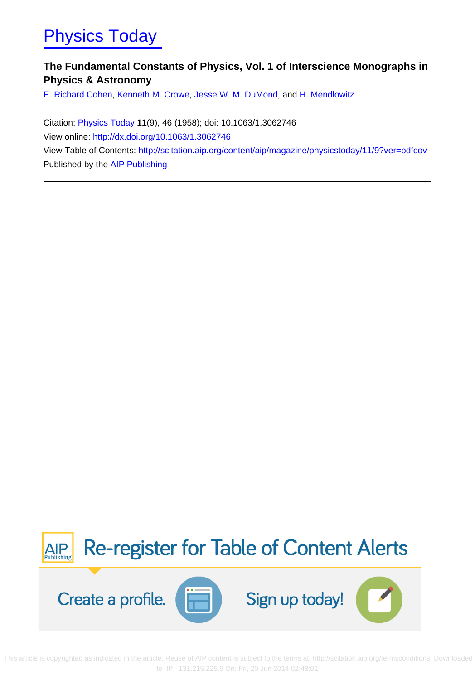## [Physics Today](http://scitation.aip.org/content/aip/magazine/physicstoday?ver=pdfcov)

## **The Fundamental Constants of Physics, Vol. 1 of Interscience Monographs in Physics & Astronomy**

[E. Richard Cohen,](http://scitation.aip.org/search?value1=E.+Richard+Cohen&option1=author) [Kenneth M. Crowe](http://scitation.aip.org/search?value1=Kenneth+M.+Crowe&option1=author), [Jesse W. M. DuMond](http://scitation.aip.org/search?value1=Jesse+W.+M.+DuMond&option1=author), and [H. Mendlowitz](http://scitation.aip.org/search?value1=H.+Mendlowitz&option1=author)

Citation: [Physics Today](http://scitation.aip.org/content/aip/magazine/physicstoday?ver=pdfcov) **11**(9), 46 (1958); doi: 10.1063/1.3062746 View online:<http://dx.doi.org/10.1063/1.3062746> View Table of Contents: <http://scitation.aip.org/content/aip/magazine/physicstoday/11/9?ver=pdfcov> Published by the [AIP Publishing](http://scitation.aip.org/content/aip?ver=pdfcov)



 This ar[ticle is copyrighted as indicated in the article. Reuse of AIP content is subject to the terms at: http://scitation.aip.org/termsconditions.](http://oasc12039.247realmedia.com/RealMedia/ads/click_lx.ads/www.aip.org/pt/adcenter/pdfcover_test/L-37/1256516833/x01/AIP-PT/PT_ArticleDL_061814/aipToCAlerts_Large.png/3242633550464f4f466830414145534e?x) Downloaded to IP: 131.215.225.9 On: Fri, 20 Jun 2014 02:48:01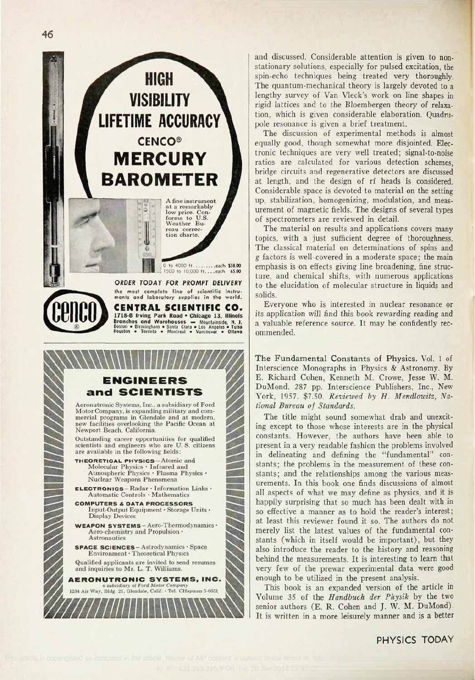

**CENTRAL SCIENTIFIC CO.**<br>1718-B frving Park Road • Chicago 13, Illinois<br>Branches and Warehouses — Mountainside, N. J.<br>80ston • Birmingham • Santa Clara • Los Angeles • Tulsa<br>Houston • Toronto • Montreal • Vancouver • Otta

## **ENGINEERS and SCIENTISTS**

Aeronutronic Systems, Inc., a subsidiary of Ford mercial programs in Glendale and at modern, new facilities overlooking the Pacific Ocean at Newport Beach, California.

Outstanding career opportunities for qualified scientists and engineers who are U. S. citizens are available in the following fields:

**THEORETICAL PHYSICS-**Atomic **and** Molecular Physics • Infrared and Atmospheric Physics \* Plasma Physics • Nuclear Weapons Phenomena

ELECTRONICS —Radar • Information Links • Automatic Controls • Mathematics

**COMPUTERS** *&* **DATA PROCESSORS** Input-Output Equipment • Storage Units • Display Devices

WEAPON SYSTEMS —Aero-Thermodynamics • Aero-chemistry and Propulsion • Astronautics

SPACE SCIENCES-Astrodynamics • Space Environment • Theoretical Physics

Qualified applicants are invited to send resumes and inquiries to Mr. L. T. Williams.

**AERONUTRONIC SYSTEMS, INC.** *a subsidiary of Ford Motor Company* 1234 Air Way, Bldg. 21, Glendale, Calif. • Tel. CHapman 5-6651

and discussed. Considerable attention is given to nonstationary solutions, especially for pulsed excitation, the spin-echo techniques being treated very thoroughly. The quantum-mechanical theory is largely devoted to a lengthy survey of Van Vleck's work on line shapes in rigid lattices and to the Bloembergen theory of relaxation, which is given considerable elaboration. Quadrupole resonance is given a brief treatment.

The discussion of experimental methods is almost equally good, though somewhat more disjointed. Electronic techniques are very well treated; signal-to-noise ratios are calculated for various detection schemes, bridge circuits and regenerative detectors are discussed at length, and the design of rf heads is considered. Considerable space is devoted to material on the setting up, stabilization, homogenizing, modulation, and measurement of magnetic fields. The designs of several types of spectrometers are reviewed in detail.

The material on results and applications covers many topics, with a just sufficient degree of thoroughness. The classical material on determinations of spins and *g* factors is well-covered in a moderate space; the main emphasis is on effects giving line broadening, fine structure, and chemical shifts, with numerous applications to the elucidation of molecular structure in liquids and solids.

Everyone who is interested in nuclear resonance or its application will find this book rewarding reading and a valuable reference source. It may be confidently recommended.

The Fundamental Constants of Physics. Vol. 1 of Interscience Monographs in Physics & Astronomy. By E. Richard Cohen, Kenneth M. Crowe, Jesse W. M. DuMond. 287 pp. Interscience Publishers, Inc., New York, 19S7. \$7.50. *Reviewed by H. Mendlowitz, National Bureau of Standards.*

The title might sound somewhat drab and unexciting except to those whose interests are in the physical constants. However, the authors have been able to present in a very readable fashion the problems involved in delineating and defining the "fundamental" constants; the problems in the measurement of these constants; and the relationships among the various measurements. In this book one finds discussions of almost all aspects of what we may define as physics, and it is happily surprising that so much has been dealt with in so effective a manner as to hold the reader's interest; at least this reviewer found it so. The authors do not merely list the latest values of the fundamental constants (which in itself would be important), but they also introduce the reader to the history and reasoning behind the measurements. It is interesting to learn that very few of the prewar experimental data were good enough to be utilized in the present analysis.

This book is an expanded version of the article in Volume 35 of the *Handbuch der Physik* by the two senior authors (E. R. Cohen and J. W. M. DuMond). It is written in a more leisurely manner and is a better

## PHYSICS TODAY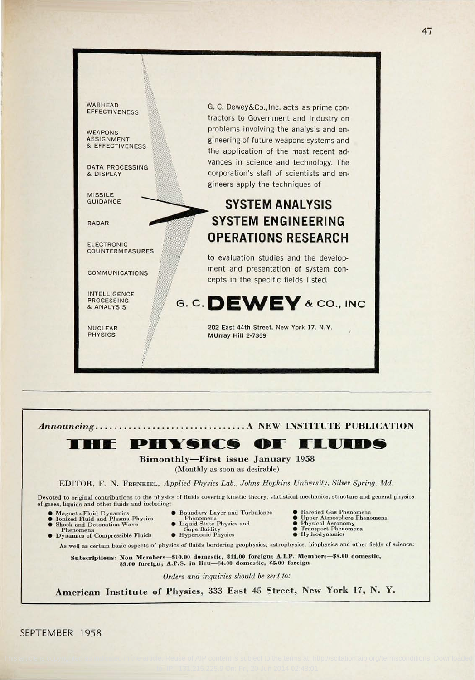